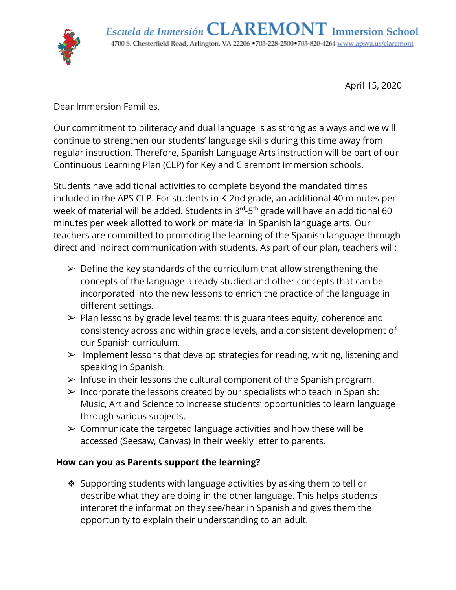

April 15, 2020

Dear Immersion Families,

Our commitment to biliteracy and dual language is as strong as always and we will continue to strengthen our students' language skills during this time away from regular instruction. Therefore, Spanish Language Arts instruction will be part of our Continuous Learning Plan (CLP) for Key and Claremont Immersion schools.

Students have additional activities to complete beyond the mandated times included in the APS CLP. For students in K-2nd grade, an additional 40 minutes per week of material will be added. Students in 3<sup>rd</sup>-5<sup>th</sup> grade will have an additional 60 minutes per week allotted to work on material in Spanish language arts. Our teachers are committed to promoting the learning of the Spanish language through direct and indirect communication with students. As part of our plan, teachers will:

- $\triangleright$  Define the key standards of the curriculum that allow strengthening the concepts of the language already studied and other concepts that can be incorporated into the new lessons to enrich the practice of the language in different settings.
- ➢ Plan lessons by grade level teams: this guarantees equity, coherence and consistency across and within grade levels, and a consistent development of our Spanish curriculum.
- $\triangleright$  Implement lessons that develop strategies for reading, writing, listening and speaking in Spanish.
- $\triangleright$  Infuse in their lessons the cultural component of the Spanish program.
- $\triangleright$  Incorporate the lessons created by our specialists who teach in Spanish: Music, Art and Science to increase students' opportunities to learn language through various subjects.
- $\geq$  Communicate the targeted language activities and how these will be accessed (Seesaw, Canvas) in their weekly letter to parents.

### **How can you as Parents support the learning?**

❖ Supporting students with language activities by asking them to tell or describe what they are doing in the other language. This helps students interpret the information they see/hear in Spanish and gives them the opportunity to explain their understanding to an adult.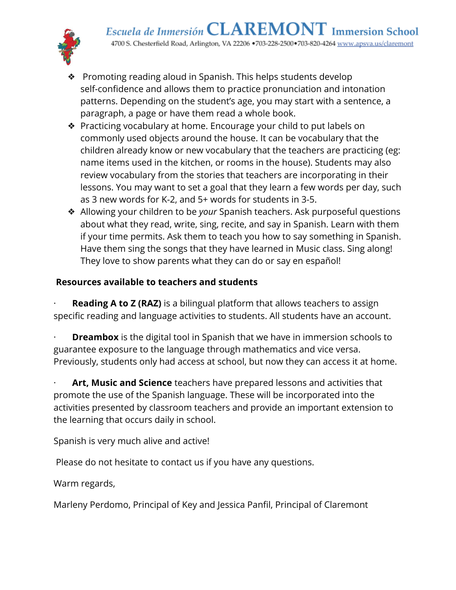

- ❖ Promoting reading aloud in Spanish. This helps students develop self-confidence and allows them to practice pronunciation and intonation patterns. Depending on the student's age, you may start with a sentence, a paragraph, a page or have them read a whole book.
- ❖ Practicing vocabulary at home. Encourage your child to put labels on commonly used objects around the house. It can be vocabulary that the children already know or new vocabulary that the teachers are practicing (eg: name items used in the kitchen, or rooms in the house). Students may also review vocabulary from the stories that teachers are incorporating in their lessons. You may want to set a goal that they learn a few words per day, such as 3 new words for K-2, and 5+ words for students in 3-5.
- ❖ Allowing your children to be *your* Spanish teachers. Ask purposeful questions about what they read, write, sing, recite, and say in Spanish. Learn with them if your time permits. Ask them to teach you how to say something in Spanish. Have them sing the songs that they have learned in Music class. Sing along! They love to show parents what they can do or say en español!

## **Resources available to teachers and students**

**Reading A to Z (RAZ)** is a bilingual platform that allows teachers to assign specific reading and language activities to students. All students have an account.

**Dreambox** is the digital tool in Spanish that we have in immersion schools to guarantee exposure to the language through mathematics and vice versa. Previously, students only had access at school, but now they can access it at home.

Art, Music and Science teachers have prepared lessons and activities that promote the use of the Spanish language. These will be incorporated into the activities presented by classroom teachers and provide an important extension to the learning that occurs daily in school.

Spanish is very much alive and active!

Please do not hesitate to contact us if you have any questions.

Warm regards,

Marleny Perdomo, Principal of Key and Jessica Panfil, Principal of Claremont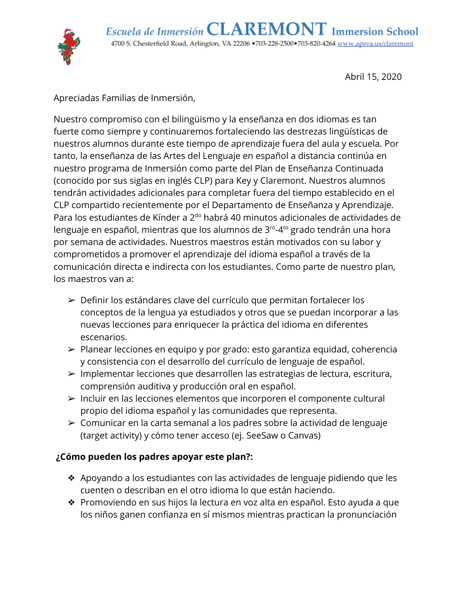

Abril 15, 2020

Apreciadas Familias de Inmersión,

Nuestro compromiso con el bilingüismo y la enseñanza en dos idiomas es tan fuerte como siempre y continuaremos fortaleciendo las destrezas lingüísticas de nuestros alumnos durante este tiempo de aprendizaje fuera del aula y escuela. Por tanto, la enseñanza de las Artes del Lenguaje en español a distancia continúa en nuestro programa de Inmersión como parte del Plan de Enseñanza Continuada (conocido por sus siglas en inglés CLP) para Key y Claremont. Nuestros alumnos tendrán actividades adicionales para completar fuera del tiempo establecido en el CLP compartido recientemente por el Departamento de Enseñanza y Aprendizaje. Para los estudiantes de Kínder a 2<sup>do</sup> habrá 40 minutos adicionales de actividades de lenguaje en español, mientras que los alumnos de 3<sup>ro</sup>-4<sup>to</sup> grado tendrán una hora por semana de actividades. Nuestros maestros están motivados con su labor y comprometidos a promover el aprendizaje del idioma español a través de la comunicación directa e indirecta con los estudiantes. Como parte de nuestro plan, los maestros van a:

- ➢ Definir los estándares clave del currículo que permitan fortalecer los conceptos de la lengua ya estudiados y otros que se puedan incorporar a las nuevas lecciones para enriquecer la práctica del idioma en diferentes escenarios.
- ➢ Planear lecciones en equipo y por grado: esto garantiza equidad, coherencia y consistencia con el desarrollo del currículo de lenguaje de español.
- ➢ Implementar lecciones que desarrollen las estrategias de lectura, escritura, comprensión auditiva y producción oral en español.
- ➢ Incluir en las lecciones elementos que incorporen el componente cultural propio del idioma español y las comunidades que representa.
- ➢ Comunicar en la carta semanal a los padres sobre la actividad de lenguaje (target activity) y cómo tener acceso (ej. SeeSaw o Canvas)

# **¿Cómo pueden los padres apoyar este plan?:**

- ❖ Apoyando a los estudiantes con las actividades de lenguaje pidiendo que les cuenten o describan en el otro idioma lo que están haciendo.
- ❖ Promoviendo en sus hijos la lectura en voz alta en español. Esto ayuda a que los niños ganen confianza en sí mismos mientras practican la pronunciación